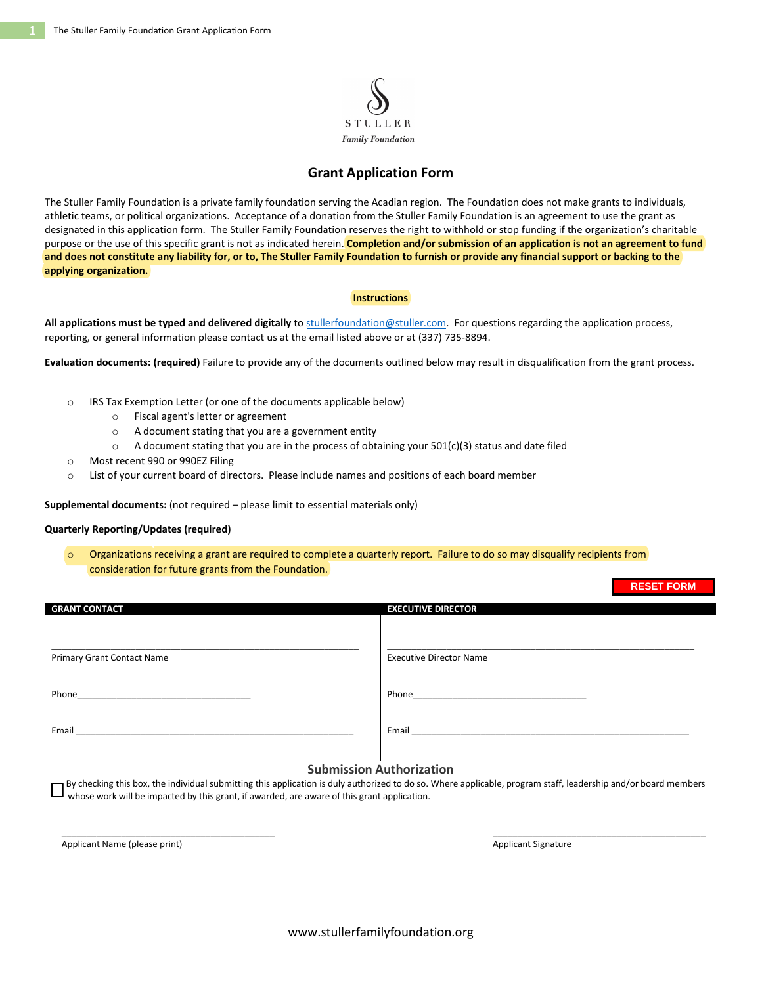

## **Grant Application Form**

The Stuller Family Foundation is a private family foundation serving the Acadian region. The Foundation does not make grants to individuals, athletic teams, or political organizations. Acceptance of a donation from the Stuller Family Foundation is an agreement to use the grant as designated in this application form. The Stuller Family Foundation reserves the right to withhold or stop funding if the organization's charitable purpose or the use of this specific grant is not as indicated herein. **Completion and/or submission of an application is not an agreement to fund and does not constitute any liability for, or to, The Stuller Family Foundation to furnish or provide any financial support or backing to the applying organization.**

#### **Instructions**

**All applications must be typed and delivered digitally** to [stullerfoundation@stuller.com.](mailto:stullerfoundation@stuller.com) For questions regarding the application process, reporting, or general information please contact us at the email listed above or at (337) 735-8894.

**Evaluation documents: (required)** Failure to provide any of the documents outlined below may result in disqualification from the grant process.

- o IRS Tax Exemption Letter (or one of the documents applicable below)
	- o Fiscal agent's letter or agreement
	- o A document stating that you are a government entity
	- $\circ$  A document stating that you are in the process of obtaining your 501(c)(3) status and date filed
- o Most recent 990 or 990EZ Filing
- o List of your current board of directors. Please include names and positions of each board member

**Supplemental documents:** (not required – please limit to essential materials only)

#### **Quarterly Reporting/Updates (required)**

Organizations receiving a grant are required to complete a quarterly report. Failure to do so may disqualify recipients from consideration for future grants from the Foundation.

|                                                                                                                | $11 - 9 - 1$ $11 - 11$         |
|----------------------------------------------------------------------------------------------------------------|--------------------------------|
| <b>GRANT CONTACT</b>                                                                                           | <b>EXECUTIVE DIRECTOR</b>      |
|                                                                                                                |                                |
| Primary Grant Contact Name                                                                                     | <b>Executive Director Name</b> |
| Phone 2008 2009 2010 2021 2022 2023 2024 2022 2022 2023 2024 2022 2023 2024 2022 2023 2024 2022 2023 2024 2025 |                                |
| Email                                                                                                          | Email                          |
|                                                                                                                |                                |

### **Submission Authorization**

 By checking this box, the individual submitting this application is duly authorized to do so. Where applicable, program staff, leadership and/or board members whose work will be impacted by this grant, if awarded, are aware of this grant application.

\_\_\_\_\_\_\_\_\_\_\_\_\_\_\_\_\_\_\_\_\_\_\_\_\_\_\_\_\_\_\_\_\_\_\_\_\_\_\_\_\_\_\_ \_\_\_\_\_\_\_\_\_\_\_\_\_\_\_\_\_\_\_\_\_\_\_\_\_\_\_\_\_\_\_\_\_\_\_\_\_\_\_\_\_\_\_

Applicant Name (please print) Applicant Signature and Applicant Signature Applicant Signature

**RESET FORM**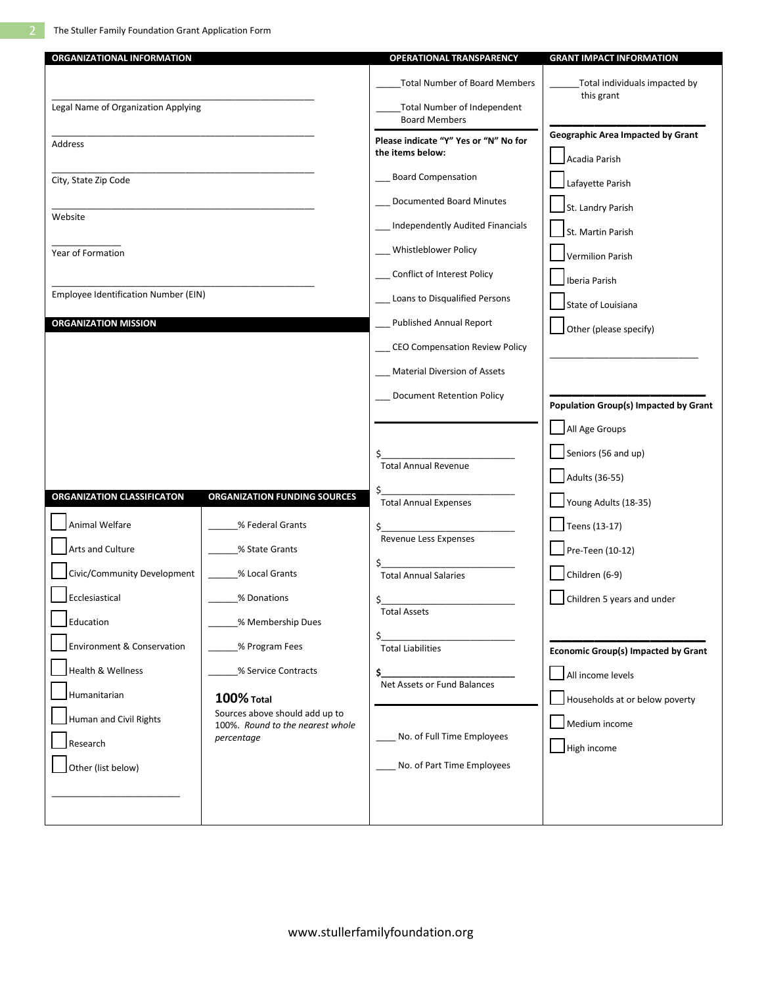| <b>ORGANIZATIONAL INFORMATION</b>    |                                                                    | <b>OPERATIONAL TRANSPARENCY</b>                           | <b>GRANT IMPACT INFORMATION</b>                           |
|--------------------------------------|--------------------------------------------------------------------|-----------------------------------------------------------|-----------------------------------------------------------|
|                                      |                                                                    | <b>Total Number of Board Members</b>                      | Total individuals impacted by                             |
| Legal Name of Organization Applying  |                                                                    | Total Number of Independent<br><b>Board Members</b>       | this grant                                                |
| <b>Address</b>                       |                                                                    | Please indicate "Y" Yes or "N" No for<br>the items below: | <b>Geographic Area Impacted by Grant</b><br>Acadia Parish |
| City, State Zip Code                 |                                                                    | _Board Compensation                                       | Lafayette Parish                                          |
| Website                              |                                                                    | Documented Board Minutes                                  | St. Landry Parish                                         |
|                                      |                                                                    | Independently Audited Financials                          | St. Martin Parish                                         |
| Year of Formation                    |                                                                    | Whistleblower Policy                                      | <b>Vermilion Parish</b>                                   |
|                                      |                                                                    | __ Conflict of Interest Policy                            | Iberia Parish                                             |
| Employee Identification Number (EIN) |                                                                    | __ Loans to Disqualified Persons                          | State of Louisiana                                        |
| <b>ORGANIZATION MISSION</b>          |                                                                    | <b>Published Annual Report</b>                            | Other (please specify)                                    |
|                                      |                                                                    | _ CEO Compensation Review Policy                          |                                                           |
|                                      |                                                                    | <b>Material Diversion of Assets</b>                       |                                                           |
|                                      |                                                                    | <b>Document Retention Policy</b>                          | <b>Population Group(s) Impacted by Grant</b>              |
|                                      |                                                                    |                                                           | All Age Groups                                            |
|                                      |                                                                    | \$.                                                       | Seniors (56 and up)                                       |
|                                      |                                                                    | <b>Total Annual Revenue</b>                               | Adults (36-55)                                            |
| ORGANIZATION CLASSIFICATON           | <b>ORGANIZATION FUNDING SOURCES</b>                                | \$_<br>Total Annual Expenses                              | Young Adults (18-35)                                      |
| Animal Welfare                       | % Federal Grants                                                   | \$                                                        | Teens (13-17)                                             |
| Arts and Culture                     | % State Grants                                                     | Revenue Less Expenses                                     | Pre-Teen (10-12)                                          |
| Civic/Community Development          | % Local Grants                                                     | <b>Total Annual Salaries</b>                              | Children (6-9)                                            |
| Ecclesiastical                       | % Donations                                                        | Ś.                                                        | Children 5 years and under                                |
| Education                            | % Membership Dues                                                  | <b>Total Assets</b>                                       |                                                           |
| Environment & Conservation           | % Program Fees                                                     | \$_<br><b>Total Liabilities</b>                           | <b>Economic Group(s) Impacted by Grant</b>                |
| Health & Wellness                    | % Service Contracts                                                | \$_                                                       | All income levels                                         |
| Humanitarian                         | <b>100% Total</b>                                                  | Net Assets or Fund Balances                               | Households at or below poverty                            |
| Human and Civil Rights               | Sources above should add up to<br>100%. Round to the nearest whole |                                                           | Medium income                                             |
| Research                             | percentage                                                         | No. of Full Time Employees                                | High income                                               |
| Other (list below)                   |                                                                    | No. of Part Time Employees                                |                                                           |
|                                      |                                                                    |                                                           |                                                           |
|                                      |                                                                    |                                                           |                                                           |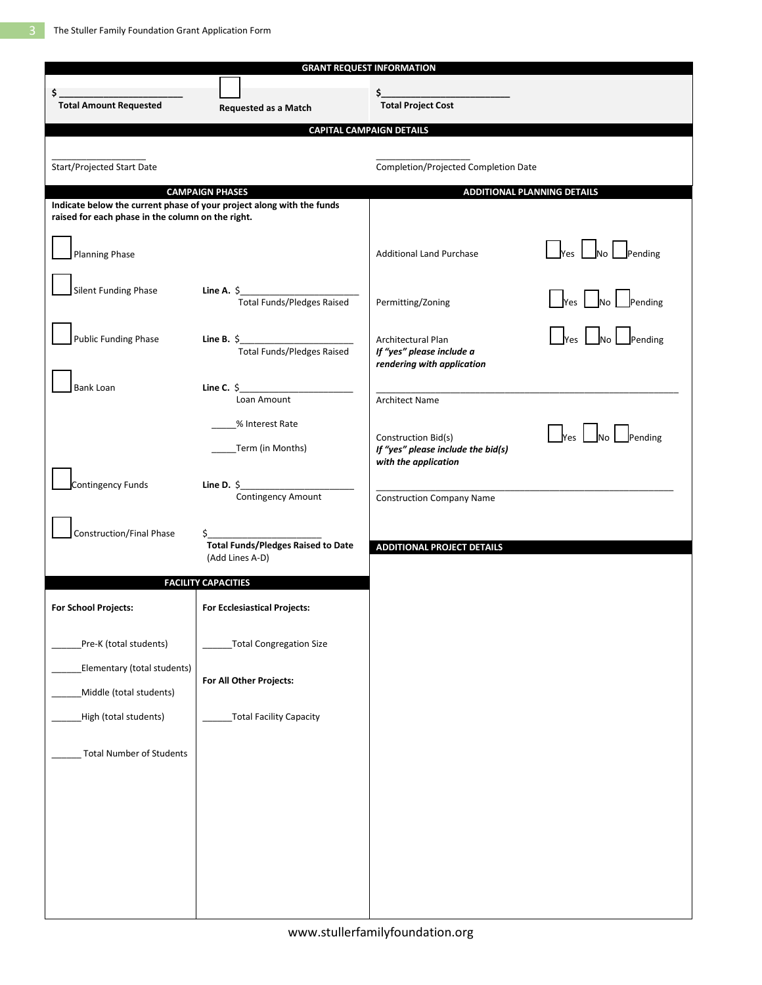| <b>GRANT REQUEST INFORMATION</b>                       |                                                                                                 |                                                                                   |                                                                               |  |
|--------------------------------------------------------|-------------------------------------------------------------------------------------------------|-----------------------------------------------------------------------------------|-------------------------------------------------------------------------------|--|
| \$                                                     |                                                                                                 | $\mathsf{s}_-$                                                                    |                                                                               |  |
| <b>Total Amount Requested</b>                          | Requested as a Match                                                                            | <b>Total Project Cost</b>                                                         |                                                                               |  |
|                                                        |                                                                                                 | <b>CAPITAL CAMPAIGN DETAILS</b>                                                   |                                                                               |  |
|                                                        |                                                                                                 |                                                                                   |                                                                               |  |
| Start/Projected Start Date                             |                                                                                                 | Completion/Projected Completion Date                                              |                                                                               |  |
|                                                        | <b>CAMPAIGN PHASES</b><br>Indicate below the current phase of your project along with the funds |                                                                                   | <b>ADDITIONAL PLANNING DETAILS</b>                                            |  |
| raised for each phase in the column on the right.      |                                                                                                 |                                                                                   |                                                                               |  |
| <b>Planning Phase</b>                                  |                                                                                                 | <b>Additional Land Purchase</b>                                                   | $\frac{1}{\sqrt{1}}$ Yes $\frac{1}{\sqrt{1}}$ No $\frac{1}{\sqrt{1}}$ Pending |  |
| Silent Funding Phase                                   | Line A. $\zeta$                                                                                 | Permitting/Zoning                                                                 | Yes Mo Pending                                                                |  |
| <b>Public Funding Phase</b>                            | Line B. $\zeta$<br><b>Total Funds/Pledges Raised</b>                                            | Architectural Plan<br>If "yes" please include a<br>rendering with application     | $\Box$ Yes $\Box$ No Pending                                                  |  |
| <b>Bank Loan</b>                                       | Line C. $\frac{1}{2}$<br>Loan Amount                                                            | <b>Architect Name</b>                                                             |                                                                               |  |
|                                                        | % Interest Rate<br>__Term (in Months)                                                           | Construction Bid(s)<br>If "yes" please include the bid(s)<br>with the application | $Yes$ $\Box$<br>Pending<br><b>No</b>                                          |  |
| Contingency Funds                                      | Line D. $\frac{6}{2}$<br>Contingency Amount                                                     | <b>Construction Company Name</b>                                                  |                                                                               |  |
| Construction/Final Phase                               | <b>Total Funds/Pledges Raised to Date</b><br>(Add Lines A-D)                                    | <b>ADDITIONAL PROJECT DETAILS</b>                                                 |                                                                               |  |
| <b>FACILITY CAPACITIES</b>                             |                                                                                                 |                                                                                   |                                                                               |  |
| <b>For School Projects:</b>                            | <b>For Ecclesiastical Projects:</b>                                                             |                                                                                   |                                                                               |  |
| Pre-K (total students)                                 | <b>Total Congregation Size</b>                                                                  |                                                                                   |                                                                               |  |
| Elementary (total students)<br>Middle (total students) | For All Other Projects:                                                                         |                                                                                   |                                                                               |  |
| High (total students)                                  | <b>Total Facility Capacity</b>                                                                  |                                                                                   |                                                                               |  |
| <b>Total Number of Students</b>                        |                                                                                                 |                                                                                   |                                                                               |  |
|                                                        |                                                                                                 |                                                                                   |                                                                               |  |
|                                                        |                                                                                                 |                                                                                   |                                                                               |  |
|                                                        |                                                                                                 |                                                                                   |                                                                               |  |
|                                                        |                                                                                                 |                                                                                   |                                                                               |  |
|                                                        |                                                                                                 |                                                                                   |                                                                               |  |